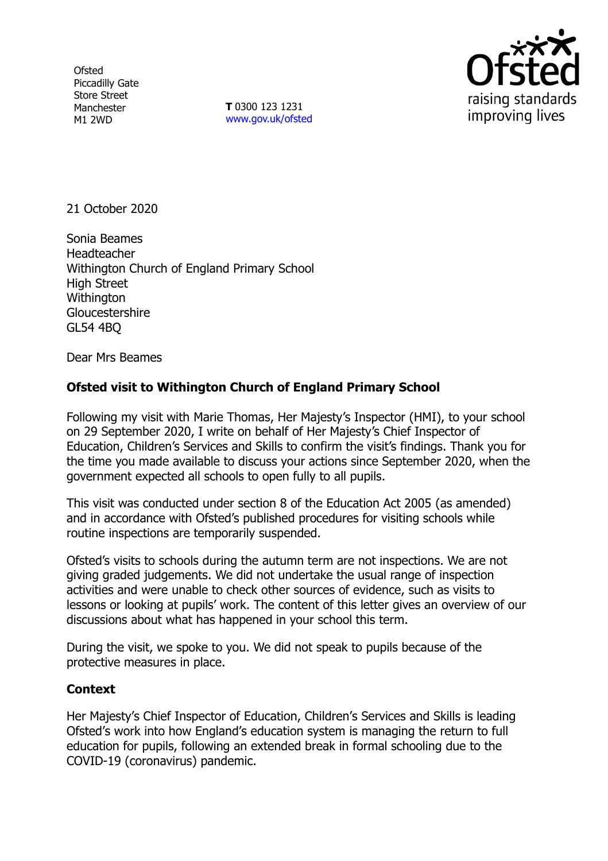**Ofsted** Piccadilly Gate Store Street Manchester M1 2WD

**T** 0300 123 1231 [www.gov.uk/ofsted](http://www.gov.uk/ofsted)



21 October 2020

Sonia Beames Headteacher Withington Church of England Primary School High Street **Withington Gloucestershire** GL54 4BQ

Dear Mrs Beames

## **Ofsted visit to Withington Church of England Primary School**

Following my visit with Marie Thomas, Her Majesty's Inspector (HMI), to your school on 29 September 2020, I write on behalf of Her Majesty's Chief Inspector of Education, Children's Services and Skills to confirm the visit's findings. Thank you for the time you made available to discuss your actions since September 2020, when the government expected all schools to open fully to all pupils.

This visit was conducted under section 8 of the Education Act 2005 (as amended) and in accordance with Ofsted's published procedures for visiting schools while routine inspections are temporarily suspended.

Ofsted's visits to schools during the autumn term are not inspections. We are not giving graded judgements. We did not undertake the usual range of inspection activities and were unable to check other sources of evidence, such as visits to lessons or looking at pupils' work. The content of this letter gives an overview of our discussions about what has happened in your school this term.

During the visit, we spoke to you. We did not speak to pupils because of the protective measures in place.

## **Context**

Her Majesty's Chief Inspector of Education, Children's Services and Skills is leading Ofsted's work into how England's education system is managing the return to full education for pupils, following an extended break in formal schooling due to the COVID-19 (coronavirus) pandemic.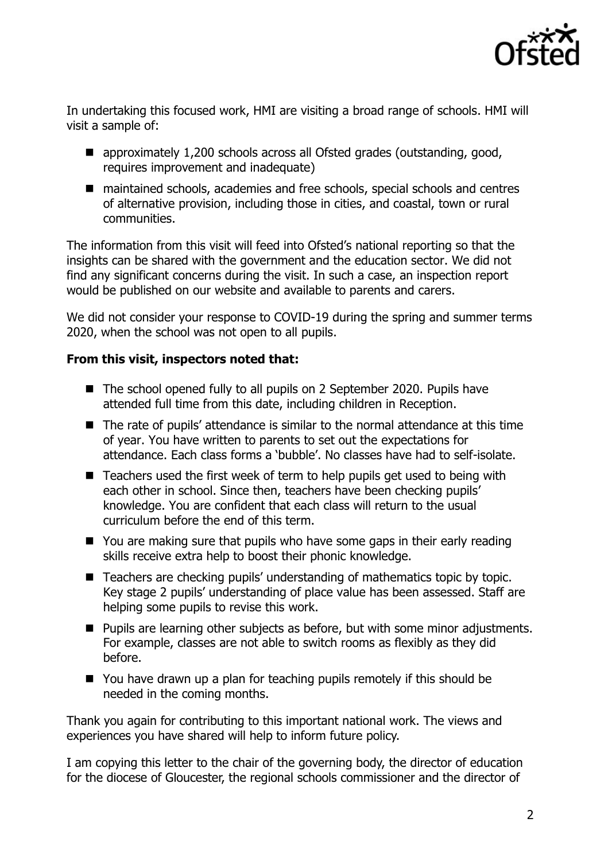

In undertaking this focused work, HMI are visiting a broad range of schools. HMI will visit a sample of:

- approximately 1,200 schools across all Ofsted grades (outstanding, good, requires improvement and inadequate)
- maintained schools, academies and free schools, special schools and centres of alternative provision, including those in cities, and coastal, town or rural communities.

The information from this visit will feed into Ofsted's national reporting so that the insights can be shared with the government and the education sector. We did not find any significant concerns during the visit. In such a case, an inspection report would be published on our website and available to parents and carers.

We did not consider your response to COVID-19 during the spring and summer terms 2020, when the school was not open to all pupils.

## **From this visit, inspectors noted that:**

- The school opened fully to all pupils on 2 September 2020. Pupils have attended full time from this date, including children in Reception.
- The rate of pupils' attendance is similar to the normal attendance at this time of year. You have written to parents to set out the expectations for attendance. Each class forms a 'bubble'. No classes have had to self-isolate.
- Teachers used the first week of term to help pupils get used to being with each other in school. Since then, teachers have been checking pupils' knowledge. You are confident that each class will return to the usual curriculum before the end of this term.
- You are making sure that pupils who have some gaps in their early reading skills receive extra help to boost their phonic knowledge.
- Teachers are checking pupils' understanding of mathematics topic by topic. Key stage 2 pupils' understanding of place value has been assessed. Staff are helping some pupils to revise this work.
- Pupils are learning other subjects as before, but with some minor adjustments. For example, classes are not able to switch rooms as flexibly as they did before.
- You have drawn up a plan for teaching pupils remotely if this should be needed in the coming months.

Thank you again for contributing to this important national work. The views and experiences you have shared will help to inform future policy.

I am copying this letter to the chair of the governing body, the director of education for the diocese of Gloucester, the regional schools commissioner and the director of